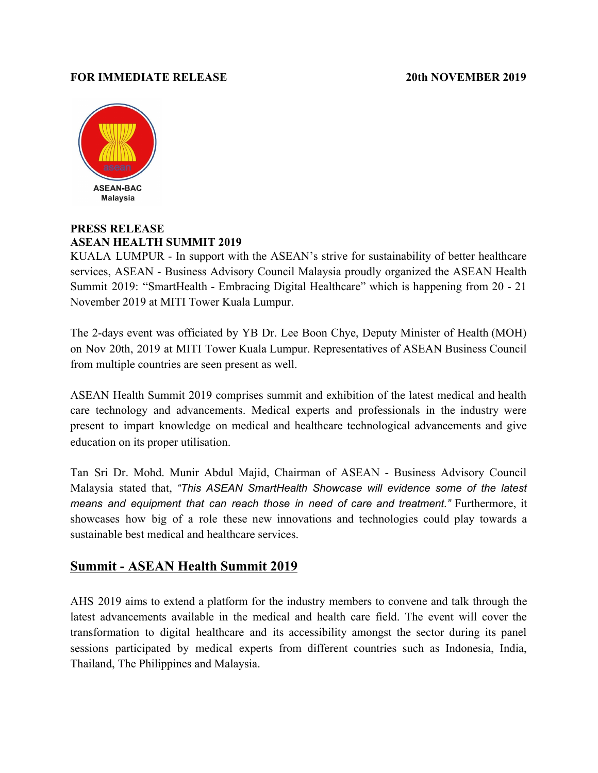## **FOR IMMEDIATE RELEASE 2019** 20th NOVEMBER 2019



## **PRESS RELEASE ASEAN HEALTH SUMMIT 2019**

KUALA LUMPUR - In support with the ASEAN's strive for sustainability of better healthcare services, ASEAN - Business Advisory Council Malaysia proudly organized the ASEAN Health Summit 2019: "SmartHealth - Embracing Digital Healthcare" which is happening from 20 - 21 November 2019 at MITI Tower Kuala Lumpur.

The 2-days event was officiated by YB Dr. Lee Boon Chye, Deputy Minister of Health (MOH) on Nov 20th, 2019 at MITI Tower Kuala Lumpur. Representatives of ASEAN Business Council from multiple countries are seen present as well.

ASEAN Health Summit 2019 comprises summit and exhibition of the latest medical and health care technology and advancements. Medical experts and professionals in the industry were present to impart knowledge on medical and healthcare technological advancements and give education on its proper utilisation.

Tan Sri Dr. Mohd. Munir Abdul Majid, Chairman of ASEAN - Business Advisory Council Malaysia stated that, *"This ASEAN SmartHealth Showcase will evidence some of the latest means and equipment that can reach those in need of care and treatment."* Furthermore, it showcases how big of a role these new innovations and technologies could play towards a sustainable best medical and healthcare services.

## **Summit - ASEAN Health Summit 2019**

AHS 2019 aims to extend a platform for the industry members to convene and talk through the latest advancements available in the medical and health care field. The event will cover the transformation to digital healthcare and its accessibility amongst the sector during its panel sessions participated by medical experts from different countries such as Indonesia, India, Thailand, The Philippines and Malaysia.